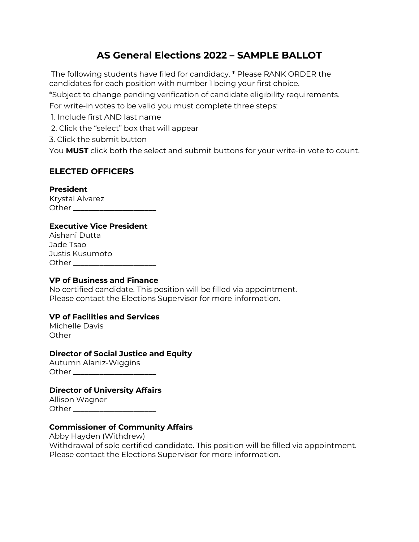# **AS General Elections 2022 – SAMPLE BALLOT**

The following students have filed for candidacy. \* Please RANK ORDER the candidates for each position with number 1 being your first choice. \*Subject to change pending verification of candidate eligibility requirements. For write-in votes to be valid you must complete three steps: 1. Include first AND last name

2. Click the "select" box that will appear

3. Click the submit button

You **MUST** click both the select and submit buttons for your write-in vote to count.

# **ELECTED OFFICERS**

### **President**

Krystal Alvarez Other  $\Box$ 

### **Executive Vice President**

Aishani Dutta Jade Tsao Justis Kusumoto Other \_\_\_\_\_\_\_\_\_\_\_\_\_\_\_\_\_\_\_\_\_\_\_\_

### **VP of Business and Finance**

No certified candidate. This position will be filled via appointment.<br>Please contact the Elections Supervisor for more information. Please contact the Elections Supervisor for more information.

# **VP of Facilities and Services**

Michelle Davis Other \_\_\_\_\_\_\_\_\_\_\_\_\_\_\_\_\_\_\_\_\_\_

### **Director of Social Justice and Equity**

Autumn Alaniz-Wiggins Other **and the set of the set of the set of the set of the set of the set of the set of the set of the set of the set of the set of the set of the set of the set of the set of the set of the set of the set of the set of th** 

# **Director of University Affairs**

Allison Wagner Other \_\_\_\_\_\_\_\_\_\_\_\_\_\_\_\_\_\_\_\_\_\_

# **Commissioner of Community Affairs**

 Withdrawal of sole certified candidate. This position will be filled via appointment. Please contact the Elections Supervisor for more information. Abby Hayden (Withdrew)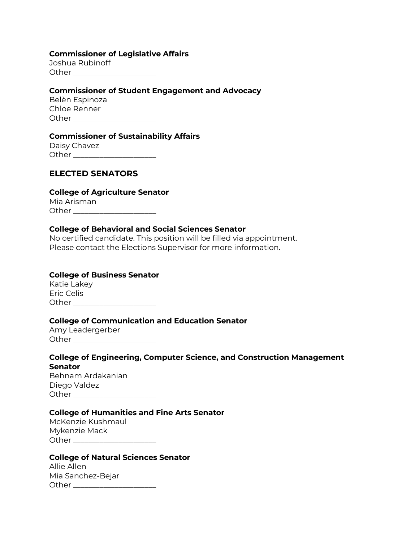#### **Commissioner of Legislative Affairs**

|       | Joshua Rubinoff |
|-------|-----------------|
| Other |                 |

#### **Commissioner of Student Engagement and Advocacy**

| Belèn Espinoza |  |
|----------------|--|
| Chloe Renner   |  |
| Other          |  |

#### **Commissioner of Sustainability Affairs**

| Daisy Chavez |  |
|--------------|--|
| Other        |  |

### **ELECTED SENATORS**

### **College of Agriculture Senator**

| Mia Arisman |  |
|-------------|--|
| Other       |  |

### **College of Behavioral and Social Sciences Senator**

 Please contact the Elections Supervisor for more information. No certified candidate. This position will be filled via appointment.

### **College of Business Senator**

 Katie Lakey Eric Celis Other \_\_\_\_\_\_\_\_\_\_\_\_\_\_\_\_\_\_\_\_\_\_

### **College of Communication and Education Senator**

| Amy Leadergerber |  |
|------------------|--|
| Other            |  |

### **College of Engineering, Computer Science, and Construction Management Senator**

Behnam Ardakanian Diego Valdez Other \_\_\_\_\_\_\_\_\_\_\_\_\_\_\_\_\_\_\_\_\_\_

### **College of Humanities and Fine Arts Senator**

| McKenzie Kushmaul |  |
|-------------------|--|
| Mykenzie Mack     |  |
| Other             |  |

#### **College of Natural Sciences Senator**

| Allie Allen       |  |
|-------------------|--|
| Mia Sanchez-Bejar |  |
| Other             |  |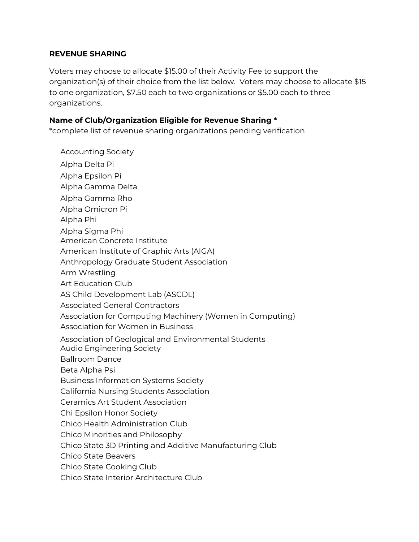### **REVENUE SHARING**

 Voters may choose to allocate \$15.00 of their Activity Fee to support the organization(s) of their choice from the list below. Voters may choose to allocate \$15 organizations. to one organization, \$7.50 each to two organizations or \$5.00 each to three

### **Name of Club/Organization Eligible for Revenue Sharing \***

\*complete list of revenue sharing organizations pending verification

 American Institute of Graphic Arts (AIGA) Chico State Beavers Accounting Society Alpha Delta Pi Alpha Epsilon Pi Alpha Gamma Delta Alpha Gamma Rho Alpha Omicron Pi Alpha Phi Alpha Sigma Phi American Concrete Institute Anthropology Graduate Student Association Arm Wrestling Art Education Club AS Child Development Lab (ASCDL) Associated General Contractors Association for Computing Machinery (Women in Computing) Association for Women in Business Association of Geological and Environmental Students Audio Engineering Society Ballroom Dance Beta Alpha Psi Business Information Systems Society California Nursing Students Association Ceramics Art Student Association Chi Epsilon Honor Society Chico Health Administration Club Chico Minorities and Philosophy Chico State 3D Printing and Additive Manufacturing Club Chico State Cooking Club Chico State Interior Architecture Club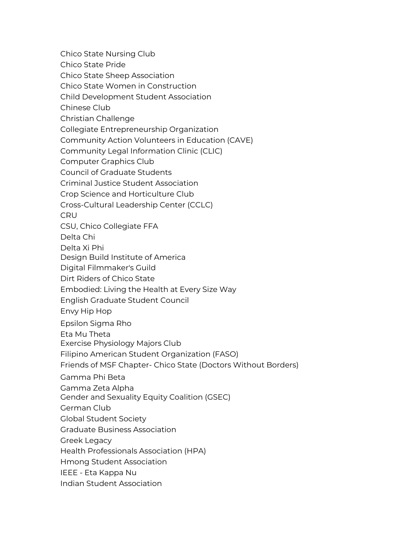Chico State Nursing Club

Chico State Pride

Chico State Sheep Association

Chico State Women in Construction

Child Development Student Association

Chinese Club

Christian Challenge

Collegiate Entrepreneurship Organization

Community Action Volunteers in Education (CAVE)

Community Legal Information Clinic (CLIC)

Computer Graphics Club

Council of Graduate Students

Criminal Justice Student Association

Crop Science and Horticulture Club

Cross-Cultural Leadership Center (CCLC)

**CRU** 

CSU, Chico Collegiate FFA

Delta Chi

Delta Xi Phi

Design Build Institute of America

Digital Filmmaker's Guild

Dirt Riders of Chico State

Embodied: Living the Health at Every Size Way

English Graduate Student Council

Envy Hip Hop

Epsilon Sigma Rho

Eta Mu Theta

Exercise Physiology Majors Club

Filipino American Student Organization (FASO)

Friends of MSF Chapter- Chico State (Doctors Without Borders)

Gamma Phi Beta

Gamma Zeta Alpha

Gender and Sexuality Equity Coalition (GSEC)

German Club

Global Student Society

Graduate Business Association

Greek Legacy

Health Professionals Association (HPA)

Hmong Student Association

IEEE - Eta Kappa Nu

Indian Student Association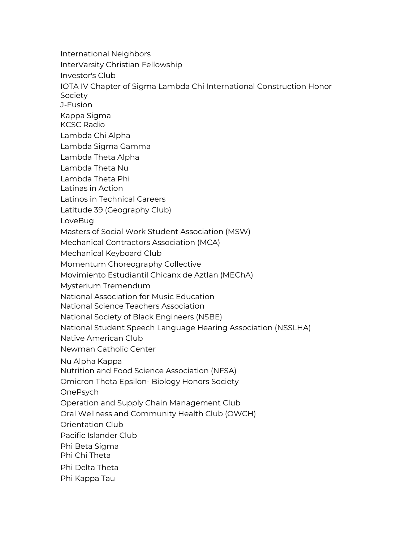International Neighbors InterVarsity Christian Fellowship Investor's Club IOTA IV Chapter of Sigma Lambda Chi International Construction Honor Society J-Fusion Kappa Sigma KCSC Radio Lambda Chi Alpha Lambda Sigma Gamma Lambda Theta Alpha Lambda Theta Nu Lambda Theta Phi Latinas in Action Latinos in Technical Careers Latitude 39 (Geography Club) LoveBug Masters of Social Work Student Association (MSW) Mechanical Contractors Association (MCA) Mechanical Keyboard Club Momentum Choreography Collective Movimiento Estudiantil Chicanx de Aztlan (MEChA) Mysterium Tremendum National Association for Music Education National Science Teachers Association National Society of Black Engineers (NSBE) National Student Speech Language Hearing Association (NSSLHA) Native American Club Newman Catholic Center Nu Alpha Kappa Nutrition and Food Science Association (NFSA) Omicron Theta Epsilon- Biology Honors Society OnePsych Operation and Supply Chain Management Club Oral Wellness and Community Health Club (OWCH) Orientation Club Pacific Islander Club Phi Beta Sigma Phi Chi Theta Phi Delta Theta Phi Kappa Tau